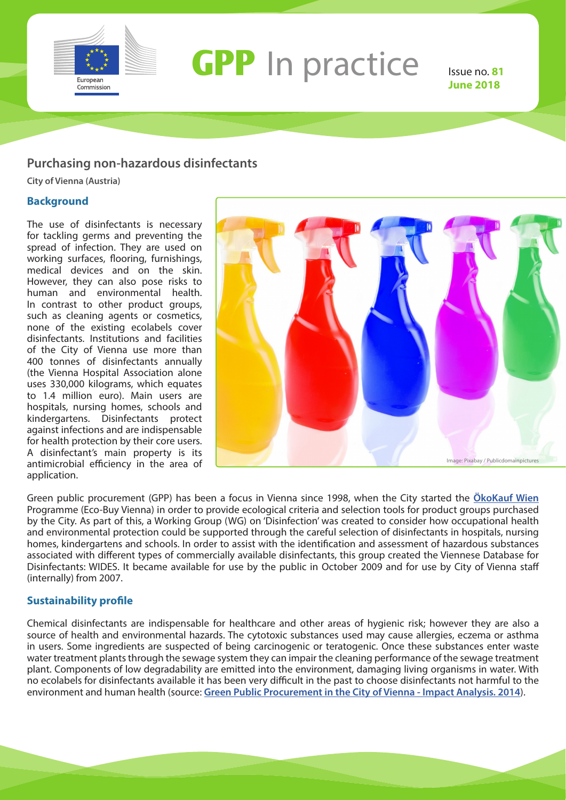

# **GPP** In practice Issue no. 81

**June 2018**

### **Purchasing non-hazardous disinfectants**

**City of Vienna (Austria)**

#### **Background**

The use of disinfectants is necessary for tackling germs and preventing the spread of infection. They are used on working surfaces, flooring, furnishings, medical devices and on the skin. However, they can also pose risks to human and environmental health. In contrast to other product groups, such as cleaning agents or cosmetics, none of the existing ecolabels cover disinfectants. Institutions and facilities of the City of Vienna use more than 400 tonnes of disinfectants annually (the Vienna Hospital Association alone uses 330,000 kilograms, which equates to 1.4 million euro). Main users are hospitals, nursing homes, schools and kindergartens. Disinfectants protect against infections and are indispensable for health protection by their core users. A disinfectant's main property is its antimicrobial efficiency in the area of application.



Green public procurement (GPP) has been a focus in Vienna since 1998, when the City started the **[ÖkoKauf Wien](https://www.wien.gv.at/umweltschutz/oekokauf/)**  Programme (Eco-Buy Vienna) in order to provide ecological criteria and selection tools for product groups purchased by the City. As part of this, a Working Group (WG) on 'Disinfection' was created to consider how occupational health and environmental protection could be supported through the careful selection of disinfectants in hospitals, nursing homes, kindergartens and schools. In order to assist with the identification and assessment of hazardous substances associated with different types of commercially available disinfectants, this group created the Viennese Database for Disinfectants: WIDES. It became available for use by the public in October 2009 and for use by City of Vienna staff (internally) from 2007.

#### **Sustainability profile**

Chemical disinfectants are indispensable for healthcare and other areas of hygienic risk; however they are also a source of health and environmental hazards. The cytotoxic substances used may cause allergies, eczema or asthma in users. Some ingredients are suspected of being carcinogenic or teratogenic. Once these substances enter waste water treatment plants through the sewage system they can impair the cleaning performance of the sewage treatment plant. Components of low degradability are emitted into the environment, damaging living organisms in water. With no ecolabels for disinfectants available it has been very difficult in the past to choose disinfectants not harmful to the environment and human health (source: **[Green Public Procurement in the City of Vienna - Impact Analysis. 2014](https://www.wien.gv.at/english/environment/protection/pdf/impact-analysis.pdf)**).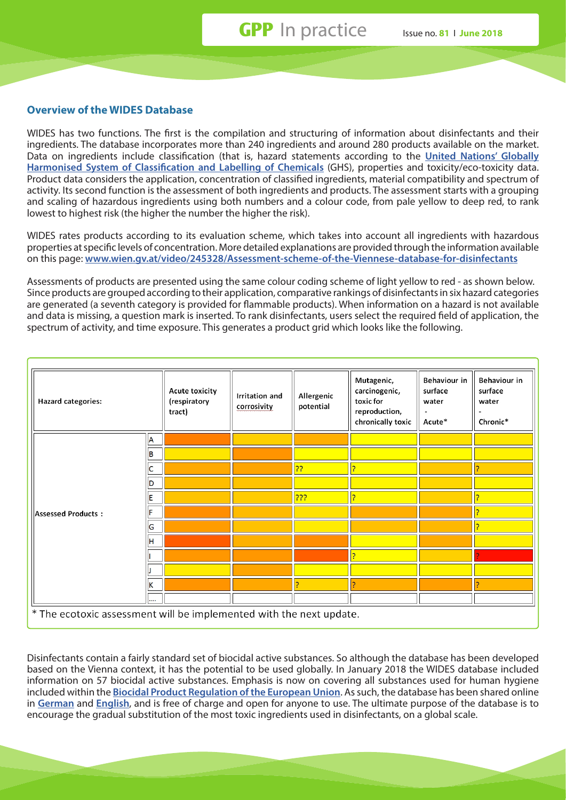#### **Overview of the WIDES Database**

WIDES has two functions. The first is the compilation and structuring of information about disinfectants and their ingredients. The database incorporates more than 240 ingredients and around 280 products available on the market. Data on ingredients include classification (that is, hazard statements according to the **[United Nations' Globally](https://www.wien.gv.at/english/environment/protection/pdf/impact-analysis.pdf)  [Harmonised System of Classification and Labelling of Chemicals](https://www.wien.gv.at/english/environment/protection/pdf/impact-analysis.pdf)** (GHS), properties and toxicity/eco-toxicity data. Product data considers the application, concentration of classified ingredients, material compatibility and spectrum of activity. Its second function is the assessment of both ingredients and products. The assessment starts with a grouping and scaling of hazardous ingredients using both numbers and a colour code, from pale yellow to deep red, to rank lowest to highest risk (the higher the number the higher the risk).

WIDES rates products according to its evaluation scheme, which takes into account all ingredients with hazardous properties at specific levels of concentration. More detailed explanations are provided through the information available on this page: **[www.wien.gv.at/video/245328/Assessment-scheme-of-the-Viennese-database-for-disinfectants](https://www.unece.org/trans/danger/publi/ghs/ghs_welcome_e.html)**

Assessments of products are presented using the same colour coding scheme of light yellow to red - as shown below. Since products are grouped according to their application, comparative rankings of disinfectants in six hazard categories are generated (a seventh category is provided for flammable products). When information on a hazard is not available and data is missing, a question mark is inserted. To rank disinfectants, users select the required field of application, the spectrum of activity, and time exposure. This generates a product grid which looks like the following.

| Hazard categories:        |   | Acute toxicity<br>(respiratory<br>tract) | Irritation and<br>corrosivity | Allergenic<br>potential | Mutagenic,<br>carcinogenic,<br>toxic for<br>reproduction,<br>chronically toxic | Behaviour in<br>surface<br>water<br>Acute* | Behaviour in<br>surface<br>water<br>Chronic* |
|---------------------------|---|------------------------------------------|-------------------------------|-------------------------|--------------------------------------------------------------------------------|--------------------------------------------|----------------------------------------------|
| <b>Assessed Products:</b> | A |                                          |                               |                         |                                                                                |                                            |                                              |
|                           | B |                                          |                               |                         |                                                                                |                                            |                                              |
|                           | C |                                          |                               | 22                      | Þ                                                                              |                                            | Þ                                            |
|                           | D |                                          |                               |                         |                                                                                |                                            |                                              |
|                           | E |                                          |                               | ???                     | p                                                                              |                                            | b                                            |
|                           | F |                                          |                               |                         |                                                                                |                                            | Þ                                            |
|                           | G |                                          |                               |                         |                                                                                |                                            | Þ                                            |
|                           | H |                                          |                               |                         |                                                                                |                                            |                                              |
|                           |   |                                          |                               |                         | Þ                                                                              |                                            |                                              |
|                           |   |                                          |                               |                         |                                                                                |                                            |                                              |
|                           | K |                                          |                               | $\overline{2}$          | Þ                                                                              |                                            | Þ                                            |
|                           |   |                                          |                               |                         |                                                                                |                                            |                                              |

Disinfectants contain a fairly standard set of biocidal active substances. So although the database has been developed based on the Vienna context, it has the potential to be used globally. In January 2018 the WIDES database included information on 57 biocidal active substances. Emphasis is now on covering all substances used for human hygiene included within the **[Biocidal Product Regulation of the European Union](https://echa.europa.eu/regulations/biocidal-products-regulation/understanding-bpr)**. As such, the database has been shared online in **[German](https://www.wien.gv.at/umweltschutz/oekokauf/desinfektionsmittel/)** and **[English](https://www.wien.gv.at/english/environment/protection/oekokauf/disinfectants/index.html)**, and is free of charge and open for anyone to use. The ultimate purpose of the database is to encourage the gradual substitution of the most toxic ingredients used in disinfectants, on a global scale.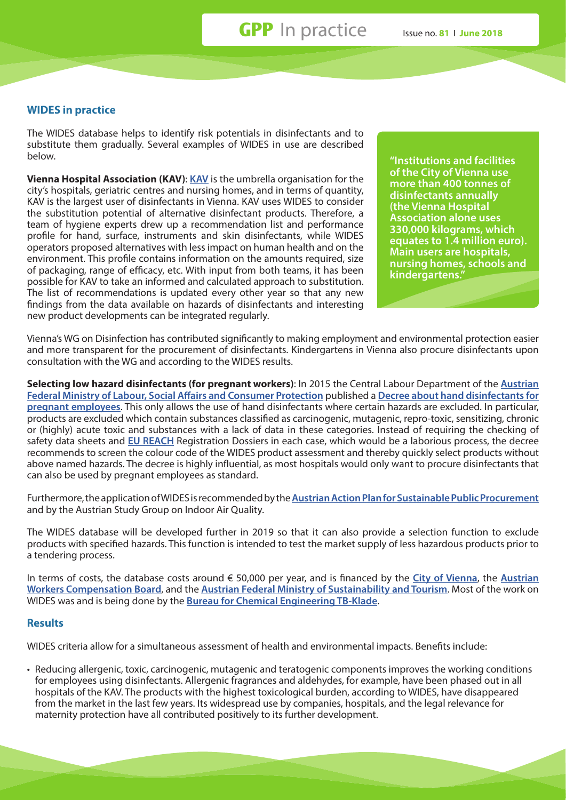**GPP** In practice Issue no. **81** I **June 2018**

#### **WIDES in practice**

The WIDES database helps to identify risk potentials in disinfectants and to substitute them gradually. Several examples of WIDES in use are described below.

**Vienna Hospital Association (KAV)**: **[KAV](http://www.wienkav.at/kav/ZeigeText.asp?ID=40683)** is the umbrella organisation for the city's hospitals, geriatric centres and nursing homes, and in terms of quantity, KAV is the largest user of disinfectants in Vienna. KAV uses WIDES to consider the substitution potential of alternative disinfectant products. Therefore, a team of hygiene experts drew up a recommendation list and performance profile for hand, surface, instruments and skin disinfectants, while WIDES operators proposed alternatives with less impact on human health and on the environment. This profile contains information on the amounts required, size of packaging, range of efficacy, etc. With input from both teams, it has been possible for KAV to take an informed and calculated approach to substitution. The list of recommendations is updated every other year so that any new findings from the data available on hazards of disinfectants and interesting new product developments can be integrated regularly.

**"Institutions and facilities of the City of Vienna use more than 400 tonnes of disinfectants annually (the Vienna Hospital Association alone uses 330,000 kilograms, which equates to 1.4 million euro). Main users are hospitals, nursing homes, schools and kindergartens."**

Vienna's WG on Disinfection has contributed significantly to making employment and environmental protection easier and more transparent for the procurement of disinfectants. Kindergartens in Vienna also procure disinfectants upon consultation with the WG and according to the WIDES results.

**Selecting low hazard disinfectants (for pregnant workers)**: In 2015 the Central Labour Department of the **[Austrian](https://www.sozialministerium.at/site/)  [Federal Ministry of Labour, Social Affairs and Consumer Protection](https://www.sozialministerium.at/site/)** published a **[Decree about hand disinfectants for](https://www.wko.at/branchen/gewerbe-handwerk/fusspfleger-kosmetikermasseure/)  [pregnant employees](https://www.wko.at/branchen/gewerbe-handwerk/fusspfleger-kosmetikermasseure/)**. This only allows the use of hand disinfectants where certain hazards are excluded. In particular, products are excluded which contain substances classified as carcinogenic, mutagenic, repro-toxic, sensitizing, chronic or (highly) acute toxic and substances with a lack of data in these categories. Instead of requiring the checking of safety data sheets and **[EU REACH](http://ec.europa.eu/environment/chemicals/reach/reach_en.htm)** Registration Dossiers in each case, which would be a laborious process, the decree recommends to screen the colour code of the WIDES product assessment and thereby quickly select products without above named hazards. The decree is highly influential, as most hospitals would only want to procure disinfectants that can also be used by pregnant employees as standard.

Furthermore, the application of WIDES is recommended by the **[Austrian Action Plan for Sustainable Public Procurement](http://www.nachhaltigebeschaffung.at/)** and by the Austrian Study Group on Indoor Air Quality.

The WIDES database will be developed further in 2019 so that it can also provide a selection function to exclude products with specified hazards. This function is intended to test the market supply of less hazardous products prior to a tendering process.

In terms of costs, the database costs around € 50,000 per year, and is financed by the **[City of Vienna](https://www.wien.gv.at/english/)**, the **[Austrian](https://www.auva.at/portal27/auvaportal/content?contentid=10007.670957&viewmode=content)  [Workers Compensation Board](https://www.auva.at/portal27/auvaportal/content?contentid=10007.670957&viewmode=content)**, and the **[Austrian Federal Ministry of Sustainability and Tourism](https://www.bmnt.gv.at/english/)**. Most of the work on WIDES was and is being done by the **[Bureau for Chemical Engineering TB-Klade](http://www.tb-klade.at/en/)**.

#### **Results**

WIDES criteria allow for a simultaneous assessment of health and environmental impacts. Benefits include:

• Reducing allergenic, toxic, carcinogenic, mutagenic and teratogenic components improves the working conditions for employees using disinfectants. Allergenic fragrances and aldehydes, for example, have been phased out in all hospitals of the KAV. The products with the highest toxicological burden, according to WIDES, have disappeared from the market in the last few years. Its widespread use by companies, hospitals, and the legal relevance for maternity protection have all contributed positively to its further development.